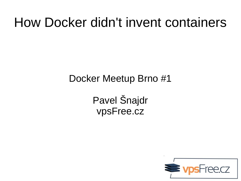#### How Docker didn't invent containers

Docker Meetup Brno #1

Pavel Šnajdr vpsFree.cz

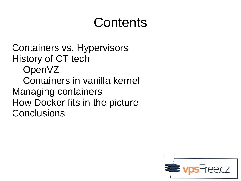#### Contents

Containers vs. Hypervisors History of CT tech OpenVZ Containers in vanilla kernel Managing containers How Docker fits in the picture **Conclusions** 

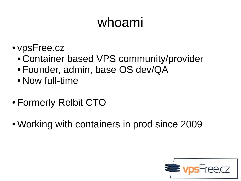# whoami

- vpsFree.cz
	- Container based VPS community/provider
	- Founder, admin, base OS dev/QA
	- Now full-time
- Formerly Relbit CTO
- Working with containers in prod since 2009

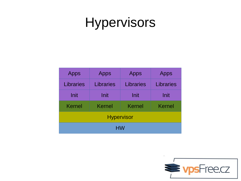## Hypervisors

| <b>Apps</b>       | <b>Apps</b>      | <b>Apps</b>      | <b>Apps</b>      |  |  |
|-------------------|------------------|------------------|------------------|--|--|
| <b>Libraries</b>  | <b>Libraries</b> | <b>Libraries</b> | <b>Libraries</b> |  |  |
| Init              | Init             | Init             | Init             |  |  |
| <b>Kernel</b>     | <b>Kernel</b>    | Kernel           | <b>Kernel</b>    |  |  |
| <b>Hypervisor</b> |                  |                  |                  |  |  |
| HW                |                  |                  |                  |  |  |

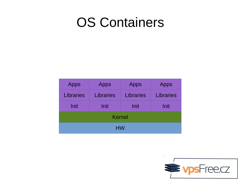#### OS Containers

| <b>Apps</b>   | <b>Apps</b>      | <b>Apps</b>      | <b>Apps</b>      |  |  |
|---------------|------------------|------------------|------------------|--|--|
| Libraries     | <b>Libraries</b> | <b>Libraries</b> | <b>Libraries</b> |  |  |
| Init          | Init             | Init             | Init             |  |  |
| <b>Kernel</b> |                  |                  |                  |  |  |
| <b>HW</b>     |                  |                  |                  |  |  |

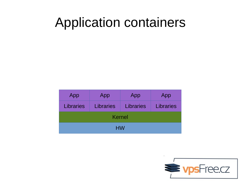#### Application containers

| App              | App              | App              | App              |  |  |
|------------------|------------------|------------------|------------------|--|--|
| <b>Libraries</b> | <b>Libraries</b> | <b>Libraries</b> | <b>Libraries</b> |  |  |
| <b>Kernel</b>    |                  |                  |                  |  |  |
| <b>HW</b>        |                  |                  |                  |  |  |

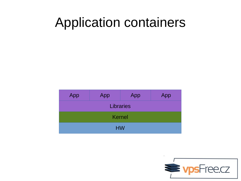#### Application containers

| App              | App | App | App |  |  |
|------------------|-----|-----|-----|--|--|
| <b>Libraries</b> |     |     |     |  |  |
| <b>Kernel</b>    |     |     |     |  |  |
| <b>HW</b>        |     |     |     |  |  |

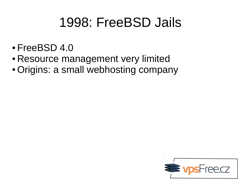## 1998: FreeBSD Jails

- FreeBSD 4.0
- Resource management very limited
- Origins: a small webhosting company

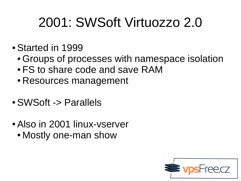## 2001: SWSoft Virtuozzo 2.0

- Started in 1999
	- Groups of processes with namespace isolation
	- FS to share code and save RAM
	- Resources management
- SWSoft -> Parallels
- Also in 2001 linux-vserver
	- Mostly one-man show

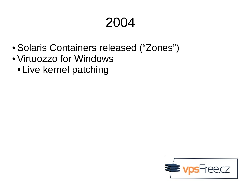- Solaris Containers released ("Zones")
- Virtuozzo for Windows
	- Live kernel patching

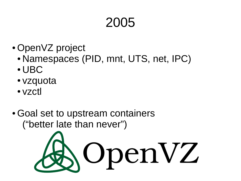- OpenVZ project
	- Namespaces (PID, mnt, UTS, net, IPC)
	- UBC
	- vzquota
	- vzctl
- Goal set to upstream containers ("better late than never")

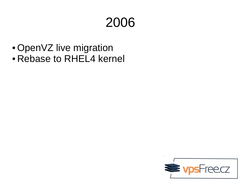- OpenVZ live migration
- Rebase to RHEL4 kernel

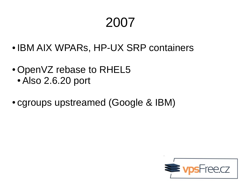- IBM AIX WPARS, HP-UX SRP containers
- OpenVZ rebase to RHEL5
	- Also 2.6.20 port
- cgroups upstreamed (Google & IBM)

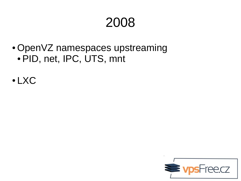- OpenVZ namespaces upstreaming • PID, net, IPC, UTS, mnt
- LXC

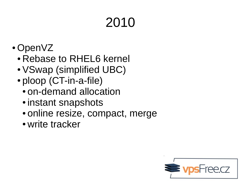- OpenVZ
	- Rebase to RHEL6 kernel
	- VSwap (simplified UBC)
	- ploop (CT-in-a-file)
		- on-demand allocation
		- instant snapshots
		- online resize, compact, merge
		- write tracker

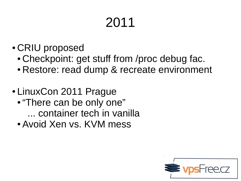- CRIU proposed
	- Checkpoint: get stuff from /proc debug fac.
	- Restore: read dump & recreate environment
- LinuxCon 2011 Prague
	- "There can be only one" ... container tech in vanilla
	- Avoid Xen vs. KVM mess

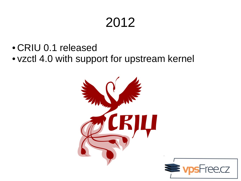- CRIU 0.1 released
- vzctl 4.0 with support for upstream kernel



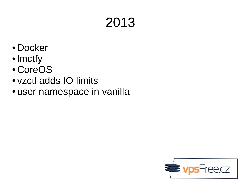- Docker
- lmctfy
- CoreOS
- vzctl adds IO limits
- user namespace in vanilla

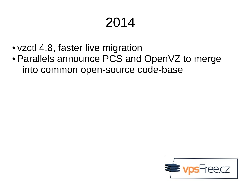- vzctl 4.8, faster live migration
- Parallels announce PCS and OpenVZ to merge into common open-source code-base

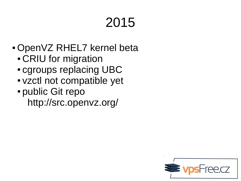- OpenVZ RHEL7 kernel beta
	- CRIU for migration
	- cgroups replacing UBC
	- vzctl not compatible yet
	- public Git repo http://src.openvz.org/

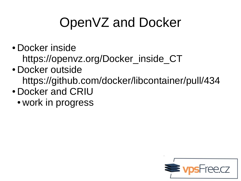## OpenVZ and Docker

- Docker inside https://openvz.org/Docker\_inside\_CT
- Docker outside https://github.com/docker/libcontainer/pull/434
- Docker and CRIU
	- work in progress

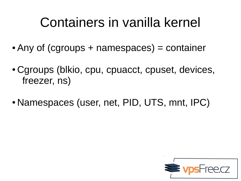## Containers in vanilla kernel

- Any of (cgroups  $+$  namespaces) = container
- Cgroups (blkio, cpu, cpuacct, cpuset, devices, freezer, ns)
- Namespaces (user, net, PID, UTS, mnt, IPC)

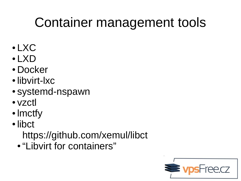# Container management tools

- LXC
- LXD
- Docker
- libvirt-lxc
- systemd-nspawn
- vzctl
- lmctfy
- libct

https://github.com/xemul/libct

● "Libvirt for containers"

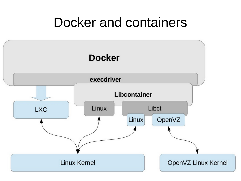#### Docker and containers

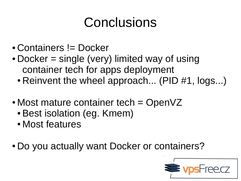# Conclusions

- Containers != Docker
- $\bullet$  Docker = single (very) limited way of using container tech for apps deployment
	- Reinvent the wheel approach... (PID  $#1$ , logs...)
- Most mature container tech  $=$  OpenVZ
	- Best isolation (eg. Kmem)
	- Most features
- Do you actually want Docker or containers?